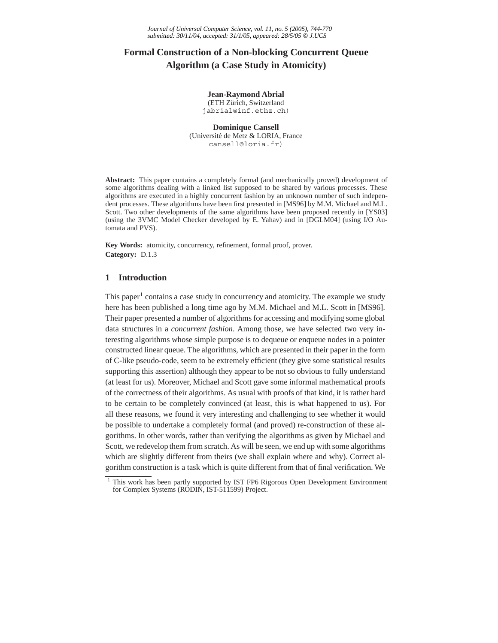# **Formal Construction of a Non-blocking Concurrent Queue Algorithm (a Case Study in Atomicity)**

## **Jean-Raymond Abrial**

(ETH Zürich, Switzerland jabrial@inf.ethz.ch)

**Dominique Cansell** (Université de Metz & LORIA, France cansell@loria.fr)

**Abstract:** This paper contains a completely formal (and mechanically proved) development of some algorithms dealing with a linked list supposed to be shared by various processes. These algorithms are executed in a highly concurrent fashion by an unknown number of such independent processes. These algorithms have been first presented in [MS96] by M.M. Michael and M.L. Scott. Two other developments of the same algorithms have been proposed recently in [YS03] (using the 3VMC Model Checker developed by E. Yahav) and in [DGLM04] (using I/O Automata and PVS).

**Key Words:** atomicity, concurrency, refinement, formal proof, prover. **Category:** D.1.3

#### **1 Introduction**

This paper<sup>1</sup> contains a case study in concurrency and atomicity. The example we study here has been published a long time ago by M.M. Michael and M.L. Scott in [MS96]. Their paper presented a number of algorithms for accessing and modifying some global data structures in a *concurrent fashion*. Among those, we have selected two very interesting algorithms whose simple purpose is to dequeue or enqueue nodes in a pointer constructed linear queue. The algorithms, which are presented in their paper in the form of C-like pseudo-code, seem to be extremely efficient (they give some statistical results supporting this assertion) although they appear to be not so obvious to fully understand (at least for us). Moreover, Michael and Scott gave some informal mathematical proofs of the correctness of their algorithms. As usual with proofs of that kind, it is rather hard to be certain to be completely convinced (at least, this is what happened to us). For all these reasons, we found it very interesting and challenging to see whether it would be possible to undertake a completely formal (and proved) re-construction of these algorithms. In other words, rather than verifying the algorithms as given by Michael and Scott, we redevelop them from scratch. As will be seen, we end up with some algorithms which are slightly different from theirs (we shall explain where and why). Correct algorithm construction is a task which is quite different from that of final verification. We

 $1$  This work has been partly supported by IST FP6 Rigorous Open Development Environment for Complex Systems (RODIN, IST-511599) Project.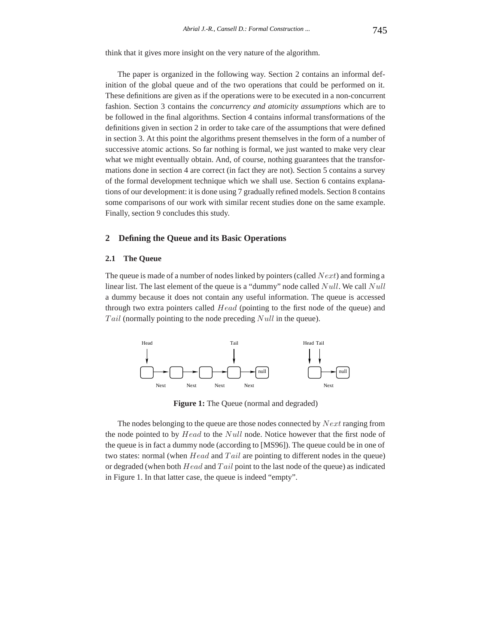think that it gives more insight on the very nature of the algorithm.

The paper is organized in the following way. Section 2 contains an informal definition of the global queue and of the two operations that could be performed on it. These definitions are given as if the operations were to be executed in a non-concurrent fashion. Section 3 contains the *concurrency and atomicity assumptions* which are to be followed in the final algorithms. Section 4 contains informal transformations of the definitions given in section 2 in order to take care of the assumptions that were defined in section 3. At this point the algorithms present themselves in the form of a number of successive atomic actions. So far nothing is formal, we just wanted to make very clear what we might eventually obtain. And, of course, nothing guarantees that the transformations done in section 4 are correct (in fact they are not). Section 5 contains a survey of the formal development technique which we shall use. Section 6 contains explanations of our development: it is done using 7 gradually refined models. Section 8 contains some comparisons of our work with similar recent studies done on the same example. Finally, section 9 concludes this study.

# **2 Defining the Queue and its Basic Operations**

#### **2.1 The Queue**

The queue is made of a number of nodes linked by pointers (called *Next*) and forming a linear list. The last element of the queue is a "dummy" node called *Null*. We call *Null* a dummy because it does not contain any useful information. The queue is accessed through two extra pointers called *Head* (pointing to the first node of the queue) and *T ail* (normally pointing to the node preceding *Null* in the queue).



**Figure 1:** The Queue (normal and degraded)

The nodes belonging to the queue are those nodes connected by *Next* ranging from the node pointed to by *Head* to the *Null* node. Notice however that the first node of the queue is in fact a dummy node (according to [MS96]). The queue could be in one of two states: normal (when *Head* and *T ail* are pointing to different nodes in the queue) or degraded (when both *Head* and *T ail* point to the last node of the queue) as indicated in Figure 1. In that latter case, the queue is indeed "empty".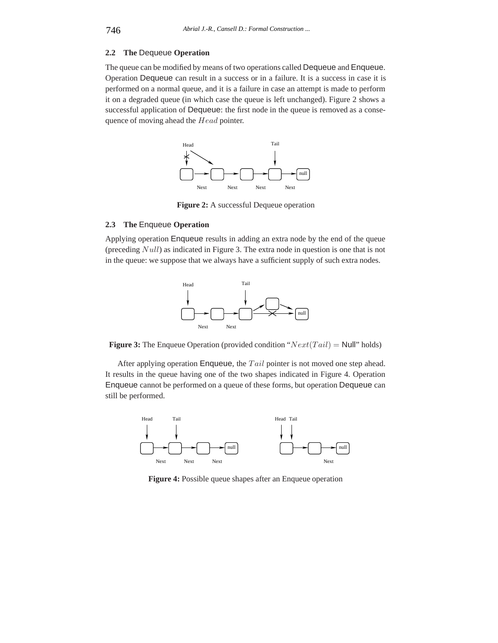## **2.2 The** Dequeue **Operation**

The queue can be modified by means of two operations called Dequeue and Enqueue. Operation Dequeue can result in a success or in a failure. It is a success in case it is performed on a normal queue, and it is a failure in case an attempt is made to perform it on a degraded queue (in which case the queue is left unchanged). Figure 2 shows a successful application of Dequeue: the first node in the queue is removed as a consequence of moving ahead the *Head* pointer.



**Figure 2:** A successful Dequeue operation

#### **2.3 The** Enqueue **Operation**

Applying operation Enqueue results in adding an extra node by the end of the queue (preceding *Null*) as indicated in Figure 3. The extra node in question is one that is not in the queue: we suppose that we always have a sufficient supply of such extra nodes.



**Figure 3:** The Enqueue Operation (provided condition "*Next*(*T ail*) = Null" holds)

After applying operation Enqueue, the *T ail* pointer is not moved one step ahead. It results in the queue having one of the two shapes indicated in Figure 4. Operation Enqueue cannot be performed on a queue of these forms, but operation Dequeue can still be performed.



**Figure 4:** Possible queue shapes after an Enqueue operation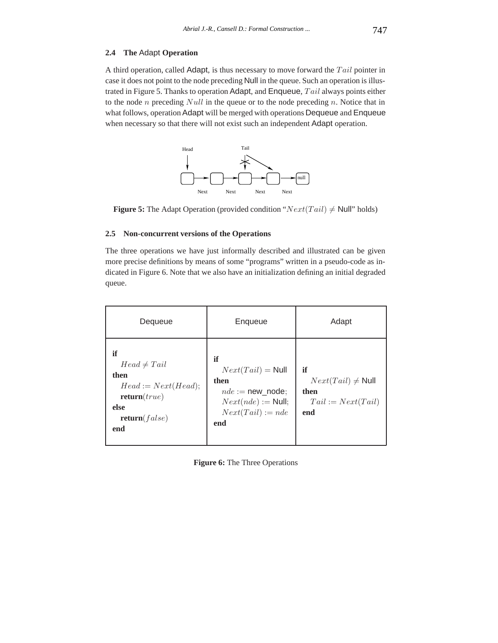#### **2.4 The** Adapt **Operation**

A third operation, called Adapt, is thus necessary to move forward the *T ail* pointer in case it does not point to the node preceding Null in the queue. Such an operation is illustrated in Figure 5. Thanks to operation Adapt, and Enqueue, *T ail* always points either to the node *n* preceding *Null* in the queue or to the node preceding *n*. Notice that in what follows, operation Adapt will be merged with operations Dequeue and Enqueue when necessary so that there will not exist such an independent Adapt operation.



**Figure 5:** The Adapt Operation (provided condition " $Next(Tail) \neq Null$ " holds)

#### **2.5 Non-concurrent versions of the Operations**

The three operations we have just informally described and illustrated can be given more precise definitions by means of some "programs" written in a pseudo-code as indicated in Figure 6. Note that we also have an initialization defining an initial degraded queue.

| Dequeue                                                                                                 | Enqueue                                                                                                       | Adapt                                                               |
|---------------------------------------------------------------------------------------------------------|---------------------------------------------------------------------------------------------------------------|---------------------------------------------------------------------|
| if<br>$Head \neq Tail$<br>then<br>$Head := Next(Head);$<br>return(true)<br>else<br>return(false)<br>end | if<br>$Next(Tail) = Null$<br>then<br>$nde := new node:$<br>$Next(nde) := Null;$<br>$Next(Tail) := nde$<br>end | if<br>$Next(Tail) \neq Null$<br>then<br>$Tail := Next(Tail)$<br>end |

**Figure 6:** The Three Operations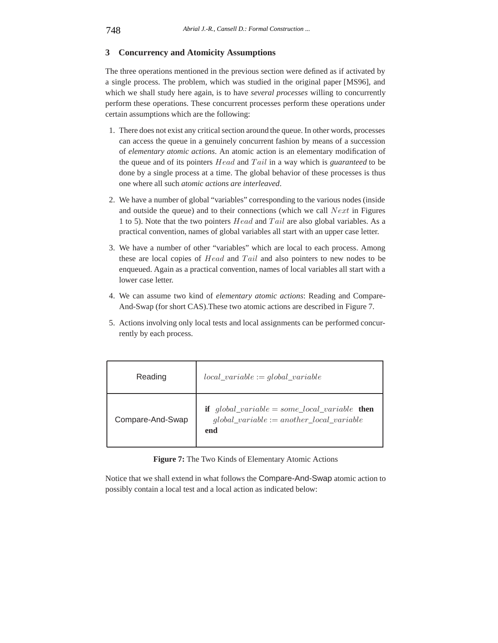# **3 Concurrency and Atomicity Assumptions**

The three operations mentioned in the previous section were defined as if activated by a single process. The problem, which was studied in the original paper [MS96], and which we shall study here again, is to have *several processes* willing to concurrently perform these operations. These concurrent processes perform these operations under certain assumptions which are the following:

- 1. There does not exist any critical section around the queue. In other words, processes can access the queue in a genuinely concurrent fashion by means of a succession of *elementary atomic actions*. An atomic action is an elementary modification of the queue and of its pointers *Head* and *T ail* in a way which is *guaranteed* to be done by a single process at a time. The global behavior of these processes is thus one where all such *atomic actions are interleaved*.
- 2. We have a number of global "variables" corresponding to the various nodes (inside and outside the queue) and to their connections (which we call *Next* in Figures 1 to 5). Note that the two pointers *Head* and *T ail* are also global variables. As a practical convention, names of global variables all start with an upper case letter.
- 3. We have a number of other "variables" which are local to each process. Among these are local copies of *Head* and *T ail* and also pointers to new nodes to be enqueued. Again as a practical convention, names of local variables all start with a lower case letter.
- 4. We can assume two kind of *elementary atomic actions*: Reading and Compare-And-Swap (for short CAS).These two atomic actions are described in Figure 7.
- 5. Actions involving only local tests and local assignments can be performed concurrently by each process.

| Reading          | $local\_variable := global\_variable$                                                                       |
|------------------|-------------------------------------------------------------------------------------------------------------|
| Compare-And-Swap | if $global\_variable = some\_local\_variable$ then<br>$global\_variable := another\_local\_variable$<br>end |

**Figure 7:** The Two Kinds of Elementary Atomic Actions

Notice that we shall extend in what follows the Compare-And-Swap atomic action to possibly contain a local test and a local action as indicated below: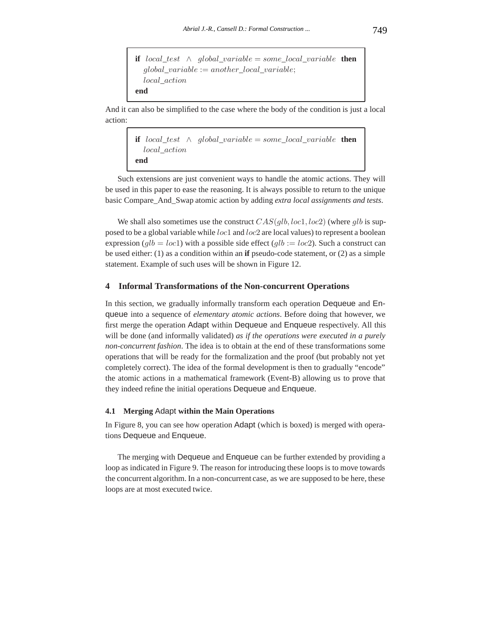if 
$$
local\_test \land global\_variable = some\_local\_variable
$$
 then  
global\\_variable := another\\_local\\_variable;  
local\\_action  
end

And it can also be simplified to the case where the body of the condition is just a local action:

```
if local test ∧ global variable = some local variable then
  local_action
end
```
Such extensions are just convenient ways to handle the atomic actions. They will be used in this paper to ease the reasoning. It is always possible to return to the unique basic Compare\_And\_Swap atomic action by adding *extra local assignments and tests*.

We shall also sometimes use the construct *CAS*(*glb, loc*1*, loc*2) (where *glb* is supposed to be a global variable while *loc*1 and *loc*2 are local values) to represent a boolean expression  $(glb = loc1)$  with a possible side effect  $(glb := loc2)$ . Such a construct can be used either: (1) as a condition within an **if** pseudo-code statement, or (2) as a simple statement. Example of such uses will be shown in Figure 12.

#### **4 Informal Transformations of the Non-concurrent Operations**

In this section, we gradually informally transform each operation Dequeue and Enqueue into a sequence of *elementary atomic actions*. Before doing that however, we first merge the operation Adapt within Dequeue and Enqueue respectively. All this will be done (and informally validated) *as if the operations were executed in a purely non-concurrent fashion*. The idea is to obtain at the end of these transformations some operations that will be ready for the formalization and the proof (but probably not yet completely correct). The idea of the formal development is then to gradually "encode" the atomic actions in a mathematical framework (Event-B) allowing us to prove that they indeed refine the initial operations Dequeue and Enqueue.

#### **4.1 Merging** Adapt **within the Main Operations**

In Figure 8, you can see how operation Adapt (which is boxed) is merged with operations Dequeue and Enqueue.

The merging with Dequeue and Enqueue can be further extended by providing a loop as indicated in Figure 9. The reason for introducing these loops is to move towards the concurrent algorithm. In a non-concurrent case, as we are supposed to be here, these loops are at most executed twice.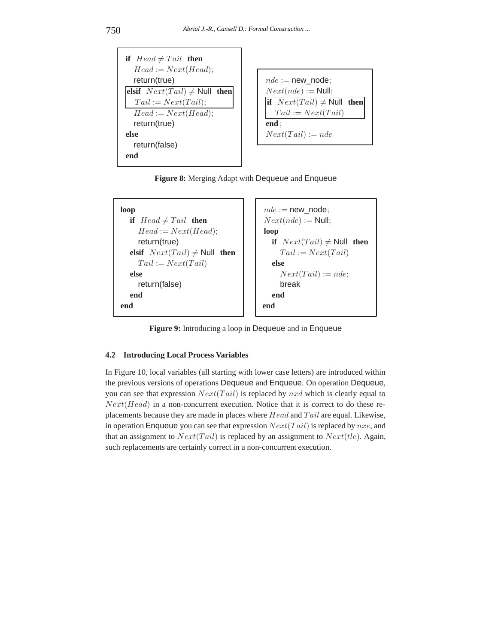

**Figure 8:** Merging Adapt with Dequeue and Enqueue



**Figure 9:** Introducing a loop in Dequeue and in Enqueue

# **4.2 Introducing Local Process Variables**

In Figure 10, local variables (all starting with lower case letters) are introduced within the previous versions of operations Dequeue and Enqueue. On operation Dequeue, you can see that expression *Next*(*T ail*) is replaced by *nxd* which is clearly equal to *Next*(*Head*) in a non-concurrent execution. Notice that it is correct to do these replacements because they are made in places where *Head* and *T ail* are equal. Likewise, in operation Enqueue you can see that expression *Next*(*T ail*)is replaced by *nxe*, and that an assignment to *Next*(*T ail*) is replaced by an assignment to *Next*(*tle*). Again, such replacements are certainly correct in a non-concurrent execution.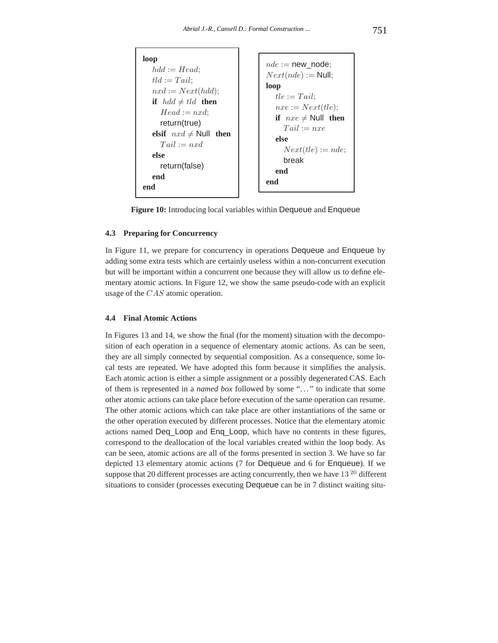```
loop
  hdd := Head;tld := Tail;\eta x d := Next(hdd);if hdd \neq tld then
     Head := nxd;
     return(true)
  elsif nxd \neq Null then
     Tail := nxdelse
     return(false)
  end
end
                                   nde := new node;Next(nde) := Null;
                                   loop
                                     tle := Tail;nxe := Next(tle);if nxe \neq Null then
                                        T ail := nxe
                                     else
                                        Next(tle) := nde;break
                                     end
                                   end
```
**Figure 10:** Introducing local variables within Dequeue and Enqueue

#### **4.3 Preparing for Concurrency**

In Figure 11, we prepare for concurrency in operations Dequeue and Enqueue by adding some extra tests which are certainly useless within a non-concurrent execution but will be important within a concurrent one because they will allow us to define elementary atomic actions. In Figure 12, we show the same pseudo-code with an explicit usage of the *CAS* atomic operation.

#### **4.4 Final Atomic Actions**

In Figures 13 and 14, we show the final (for the moment) situation with the decomposition of each operation in a sequence of elementary atomic actions. As can be seen, they are all simply connected by sequential composition. As a consequence, some local tests are repeated. We have adopted this form because it simplifies the analysis. Each atomic action is either a simple assignment or a possibly degenerated CAS. Each of them is represented in a *named box* followed by some "..." to indicate that some other atomic actions can take place before execution of the same operation can resume. The other atomic actions which can take place are other instantiations of the same or the other operation executed by different processes. Notice that the elementary atomic actions named Deq\_Loop and Enq\_Loop, which have no contents in these figures, correspond to the deallocation of the local variables created within the loop body. As can be seen, atomic actions are all of the forms presented in section 3. We have so far depicted 13 elementary atomic actions (7 for Dequeue and 6 for Enqueue). If we suppose that 20 different processes are acting concurrently, then we have  $13^{20}$  different situations to consider (processes executing Dequeue can be in 7 distinct waiting situ-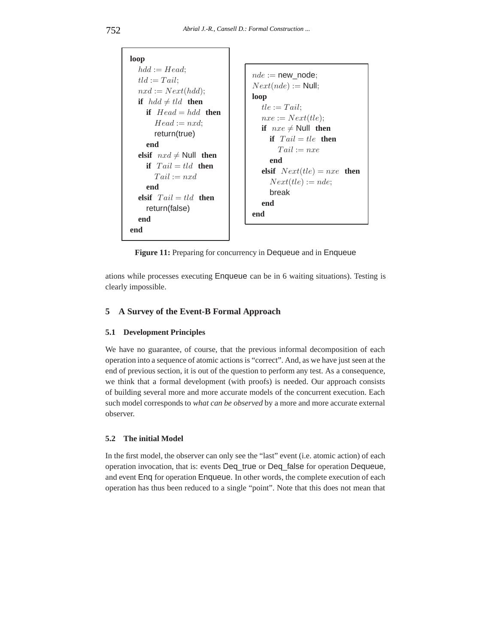| loop                                                                                                                                                                                                                                                                                      |                                                                                                                                                                                                                                                                          |
|-------------------------------------------------------------------------------------------------------------------------------------------------------------------------------------------------------------------------------------------------------------------------------------------|--------------------------------------------------------------------------------------------------------------------------------------------------------------------------------------------------------------------------------------------------------------------------|
| $hdd := Head:$<br>$tld := Tail:$<br>$nxd := Next(hdd);$<br>if $hdd \neq tld$ then<br>if $Head = hdd$ then<br>$Head := nxd$<br>return(true)<br>end<br>elsif $nxd \neq$ Null then<br>if $Tail = tld$ then<br>$Tail := nxd$<br>end<br>elsif $Tail = tld$ then<br>return(false)<br>end<br>end | $nde := new node$<br>$Next(nde) := Null;$<br>loop<br>$tle := Tail:$<br>$nxe := Next(tle);$<br>if $nxe \neq$ Null then<br><b>if</b> $Tail = the$ then<br>$Tail := nxe$<br>end<br><b>elsif</b> $Next(tle) = nxe$ <b>then</b><br>$Next(tle) := nde;$<br>break<br>end<br>end |
|                                                                                                                                                                                                                                                                                           |                                                                                                                                                                                                                                                                          |

**Figure 11:** Preparing for concurrency in Dequeue and in Enqueue

ations while processes executing Enqueue can be in 6 waiting situations). Testing is clearly impossible.

# **5 A Survey of the Event-B Formal Approach**

#### **5.1 Development Principles**

We have no guarantee, of course, that the previous informal decomposition of each operation into a sequence of atomic actions is "correct". And, as we have just seen at the end of previous section, it is out of the question to perform any test. As a consequence, we think that a formal development (with proofs) is needed. Our approach consists of building several more and more accurate models of the concurrent execution. Each such model corresponds to *what can be observed* by a more and more accurate external observer.

#### **5.2 The initial Model**

In the first model, the observer can only see the "last" event (i.e. atomic action) of each operation invocation, that is: events Deq\_true or Deq\_false for operation Dequeue, and event Enq for operation Enqueue. In other words, the complete execution of each operation has thus been reduced to a single "point". Note that this does not mean that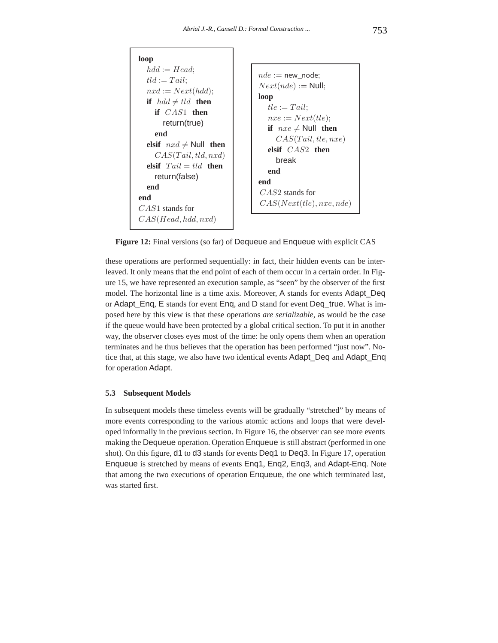

**Figure 12:** Final versions (so far) of Dequeue and Enqueue with explicit CAS

these operations are performed sequentially: in fact, their hidden events can be interleaved. It only means that the end point of each of them occur in a certain order. In Figure 15, we have represented an execution sample, as "seen" by the observer of the first model. The horizontal line is a time axis. Moreover, A stands for events Adapt\_Deq or Adapt\_Enq, E stands for event Enq, and D stand for event Deq\_true. What is imposed here by this view is that these operations *are serializable*, as would be the case if the queue would have been protected by a global critical section. To put it in another way, the observer closes eyes most of the time: he only opens them when an operation terminates and he thus believes that the operation has been performed "just now". Notice that, at this stage, we also have two identical events Adapt\_Deq and Adapt\_Enq for operation Adapt.

#### **5.3 Subsequent Models**

In subsequent models these timeless events will be gradually "stretched" by means of more events corresponding to the various atomic actions and loops that were developed informally in the previous section. In Figure 16, the observer can see more events making the Dequeue operation. Operation Enqueue is still abstract (performed in one shot). On this figure, d1 to d3 stands for events Deq1 to Deq3. In Figure 17, operation Enqueue is stretched by means of events Enq1, Enq2, Enq3, and Adapt-Enq. Note that among the two executions of operation Enqueue, the one which terminated last, was started first.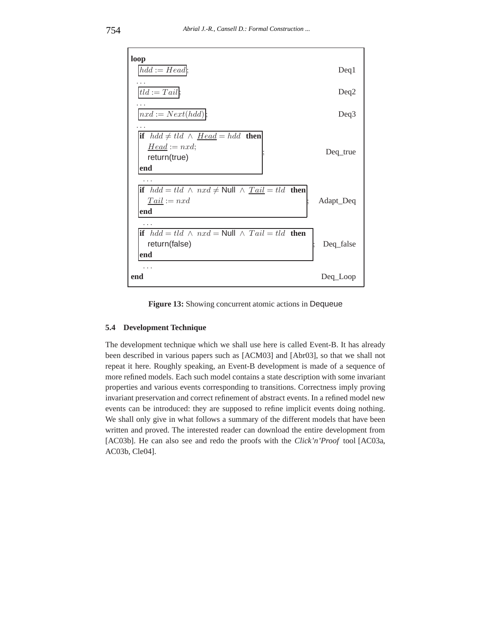

**Figure 13:** Showing concurrent atomic actions in Dequeue

## **5.4 Development Technique**

The development technique which we shall use here is called Event-B. It has already been described in various papers such as [ACM03] and [Abr03], so that we shall not repeat it here. Roughly speaking, an Event-B development is made of a sequence of more refined models. Each such model contains a state description with some invariant properties and various events corresponding to transitions. Correctness imply proving invariant preservation and correct refinement of abstract events. In a refined model new events can be introduced: they are supposed to refine implicit events doing nothing. We shall only give in what follows a summary of the different models that have been written and proved. The interested reader can download the entire development from [AC03b]. He can also see and redo the proofs with the *Click'n'Proof* tool [AC03a, AC03b, Cle04].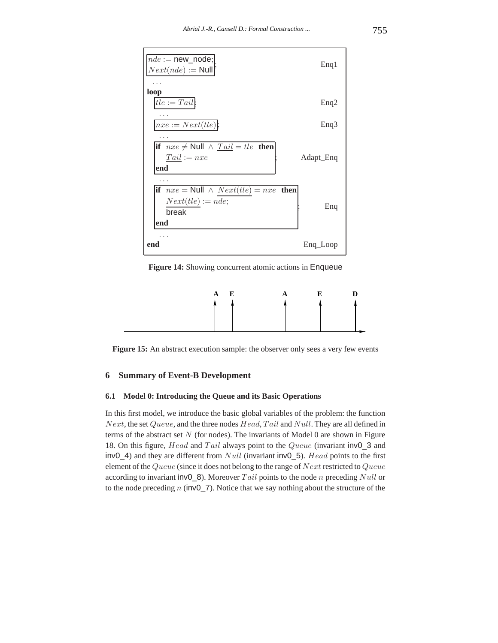

**Figure 14:** Showing concurrent atomic actions in Enqueue



Figure 15: An abstract execution sample: the observer only sees a very few events

# **6 Summary of Event-B Development**

#### **6.1 Model 0: Introducing the Queue and its Basic Operations**

In this first model, we introduce the basic global variables of the problem: the function *Next*, the set *Queue*, and the three nodes *Head*, *T ail* and *Null*. They are all defined in terms of the abstract set *N* (for nodes). The invariants of Model 0 are shown in Figure 18. On this figure, *Head* and *T ail* always point to the *Queue* (invariant inv0\_3 and inv0\_4) and they are different from *Null* (invariant inv0\_5). *Head* points to the first element of the *Queue* (since it does not belong to the range of *Next* restricted to *Queue* according to invariant inv0\_8). Moreover *T ail* points to the node *n* preceding *Null* or to the node preceding *n* (inv0\_7). Notice that we say nothing about the structure of the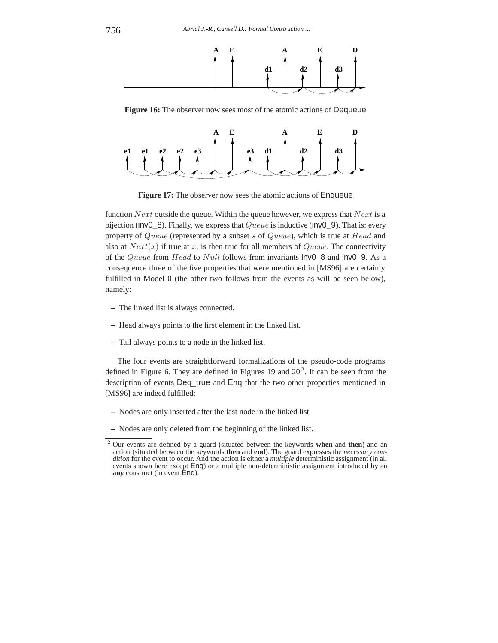

**Figure 16:** The observer now sees most of the atomic actions of Dequeue



**Figure 17:** The observer now sees the atomic actions of Enqueue

function *Next* outside the queue. Within the queue however, we express that *Next* is a bijection (inv0\_8). Finally, we express that *Queue* is inductive (inv0\_9). That is: every property of *Queue* (represented by a subset *s* of *Queue*), which is true at *Head* and also at  $Next(x)$  if true at x, is then true for all members of *Queue*. The connectivity of the *Queue* from *Head* to *Null* follows from invariants inv0\_8 and inv0\_9. As a consequence three of the five properties that were mentioned in [MS96] are certainly fulfilled in Model 0 (the other two follows from the events as will be seen below), namely:

- **–** The linked list is always connected.
- **–** Head always points to the first element in the linked list.
- **–** Tail always points to a node in the linked list.

The four events are straightforward formalizations of the pseudo-code programs defined in Figure 6. They are defined in Figures 19 and  $20<sup>2</sup>$ . It can be seen from the description of events Deq\_true and Enq that the two other properties mentioned in [MS96] are indeed fulfilled:

- **–** Nodes are only inserted after the last node in the linked list.
- **–** Nodes are only deleted from the beginning of the linked list.

<sup>2</sup> Our events are defined by a guard (situated between the keywords **when** and **then**) and an action (situated between the keywords **then** and **end**). The guard expresses the *necessary condition* for the event to occur. And the action is either a *multiple* deterministic assignment (in all events shown here except Enq) or a multiple non-deterministic assignment introduced by an **any** construct (in event Enq).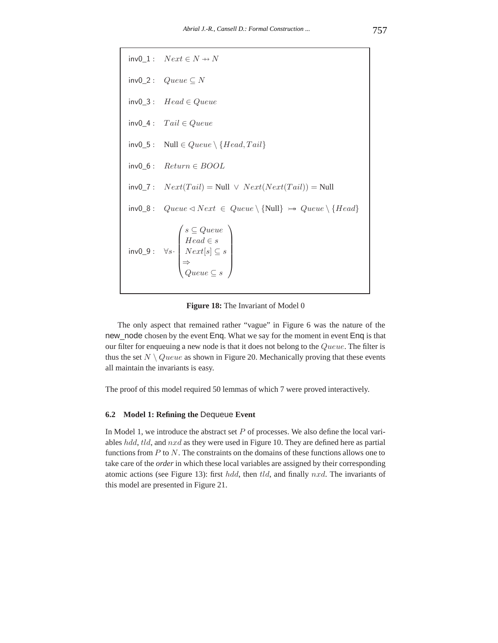$inv0$  1 :  $Next \in N \rightarrow N$ inv0\_2 : *Queue* ⊆ *N* inv0\_3 : *Head* ∈ *Queue* inv0\_4 : *T ail* ∈ *Queue*  $inv0_5$ : Null  $\in Queue \setminus \{Head, Tail\}$ inv0\_6 : *Return* ∈ *BOOL*  $inv0_7: Next(Tail) = Null \vee Next(Next(Tail)) = Null$  $inv0_8:$  *Queue*  $\triangleleft Next \in Queue \setminus \{Null\} \rightarrow Queue \setminus \{Head\}$ inv0\_9 : ∀*s*·  $\sqrt{2}$  $\begin{bmatrix} \vdots \\ \vdots \end{bmatrix}$ *s* ⊆ *Queue Head* ∈ *s*  $Next[s] \subseteq s$ ⇒ *Queue* ⊆ *s* ⎞  $\frac{1}{2}$ 

**Figure 18:** The Invariant of Model 0

The only aspect that remained rather "vague" in Figure 6 was the nature of the new node chosen by the event Enq. What we say for the moment in event Enq is that our filter for enqueuing a new node is that it does not belong to the *Queue*. The filter is thus the set  $N \setminus Queue$  as shown in Figure 20. Mechanically proving that these events all maintain the invariants is easy.

The proof of this model required 50 lemmas of which 7 were proved interactively.

# **6.2 Model 1: Refining the** Dequeue **Event**

In Model 1, we introduce the abstract set *P* of processes. We also define the local variables *hdd*, *tld*, and *nxd* as they were used in Figure 10. They are defined here as partial functions from *P* to *N*. The constraints on the domains of these functions allows one to take care of the *order* in which these local variables are assigned by their corresponding atomic actions (see Figure 13): first *hdd*, then *tld*, and finally *nxd*. The invariants of this model are presented in Figure 21.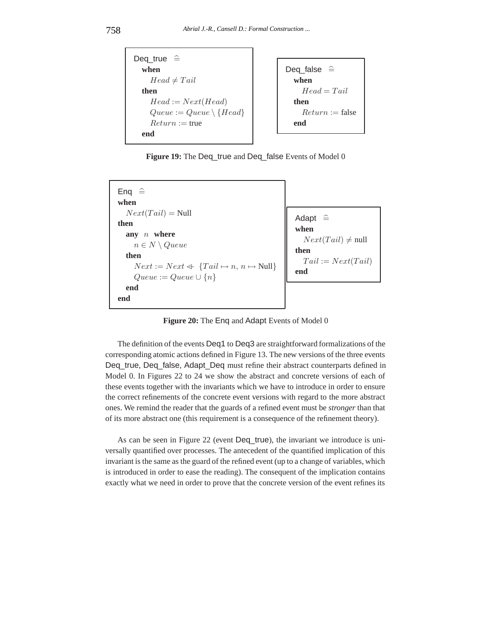

Figure 19: The Deq\_true and Deq\_false Events of Model 0



**Figure 20:** The Enq and Adapt Events of Model 0

The definition of the events Deq1 to Deq3 are straightforward formalizations of the corresponding atomic actions defined in Figure 13. The new versions of the three events Deq\_true, Deq\_false, Adapt\_Deq must refine their abstract counterparts defined in Model 0. In Figures 22 to 24 we show the abstract and concrete versions of each of these events together with the invariants which we have to introduce in order to ensure the correct refinements of the concrete event versions with regard to the more abstract ones. We remind the reader that the guards of a refined event must be *stronger* than that of its more abstract one (this requirement is a consequence of the refinement theory).

As can be seen in Figure 22 (event Deq\_true), the invariant we introduce is universally quantified over processes. The antecedent of the quantified implication of this invariant is the same as the guard of the refined event (up to a change of variables, which is introduced in order to ease the reading). The consequent of the implication contains exactly what we need in order to prove that the concrete version of the event refines its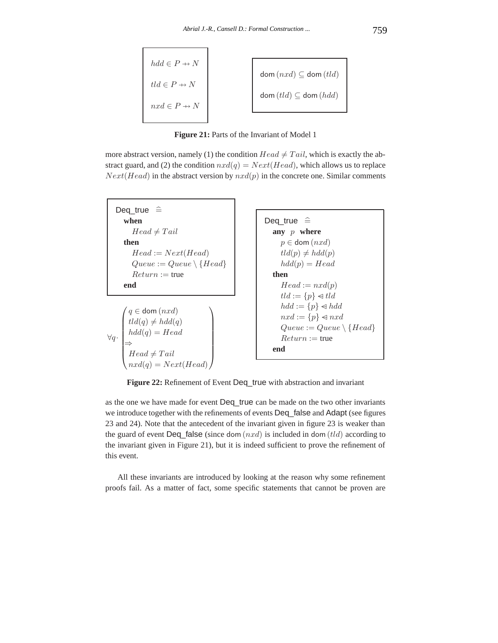$$
hdd \in P \to N
$$
  

$$
tld \in P \to N
$$
  

$$
nxd \in P \to N
$$
  

$$
dom (nxd) \subseteq dom (tld)
$$
  

$$
dom (tld) \subseteq dom (hdd)
$$

**Figure 21:** Parts of the Invariant of Model 1

more abstract version, namely (1) the condition  $Head \neq Tail$ , which is exactly the abstract guard, and (2) the condition  $nxd(q) = Next(Head)$ , which allows us to replace  $Next(Head)$  in the abstract version by  $nxd(p)$  in the concrete one. Similar comments



Figure 22: Refinement of Event Deq\_true with abstraction and invariant

as the one we have made for event Deq\_true can be made on the two other invariants we introduce together with the refinements of events Deq false and Adapt (see figures 23 and 24). Note that the antecedent of the invariant given in figure 23 is weaker than the guard of event Deq false (since dom  $(nxd)$ ) is included in dom  $(tld)$  according to the invariant given in Figure 21), but it is indeed sufficient to prove the refinement of this event.

All these invariants are introduced by looking at the reason why some refinement proofs fail. As a matter of fact, some specific statements that cannot be proven are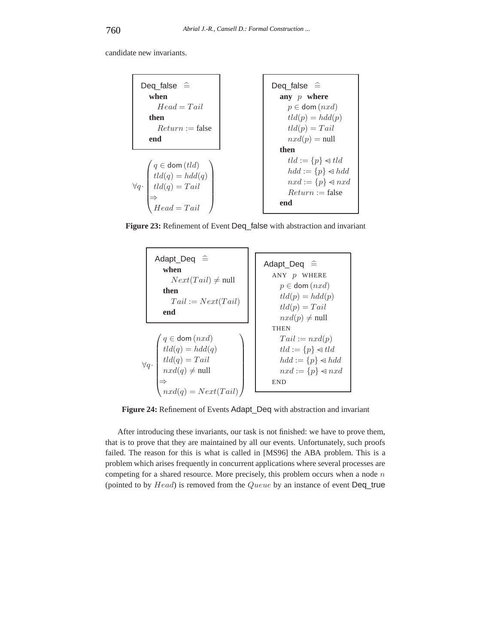candidate new invariants.



**Figure 23:** Refinement of Event Deq\_false with abstraction and invariant



**Figure 24:** Refinement of Events Adapt\_Deq with abstraction and invariant

After introducing these invariants, our task is not finished: we have to prove them, that is to prove that they are maintained by all our events. Unfortunately, such proofs failed. The reason for this is what is called in [MS96] the ABA problem. This is a problem which arises frequently in concurrent applications where several processes are competing for a shared resource. More precisely, this problem occurs when a node *n* (pointed to by *Head*) is removed from the *Queue* by an instance of event Deq\_true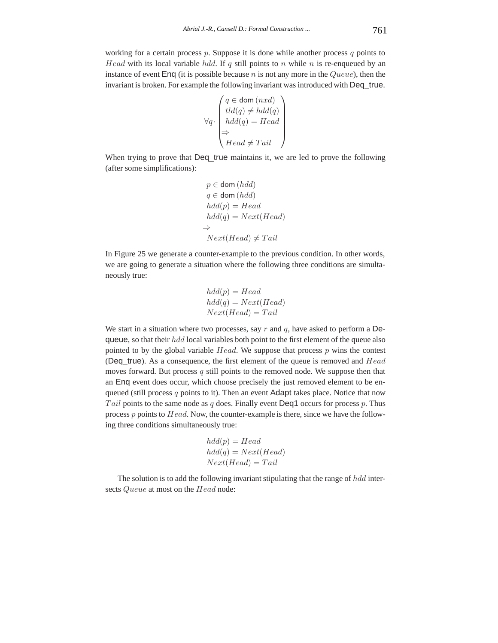working for a certain process *p*. Suppose it is done while another process *q* points to *Head* with its local variable *hdd*. If *q* still points to *n* while *n* is re-enqueued by an instance of event Enq (it is possible because *n* is not any more in the *Queue*), then the invariant is broken. For example the following invariant was introduced with Deq\_true.

$$
\forall q \cdot \begin{pmatrix} q \in \text{dom}(nxd) \\ tld(q) \neq hdd(q) \\ hdd(q) = Head \\ \Rightarrow \\ Head \neq Tail \end{pmatrix}
$$

When trying to prove that Deq\_true maintains it, we are led to prove the following (after some simplifications):

$$
p \in \text{dom} (hdd)
$$
  
\n
$$
q \in \text{dom} (hdd)
$$
  
\n
$$
hdd(p) = Head
$$
  
\n
$$
hdd(q) = Next(Head)
$$
  
\n
$$
\Rightarrow
$$
  
\n
$$
Next(Head) \neq Tail
$$

In Figure 25 we generate a counter-example to the previous condition. In other words, we are going to generate a situation where the following three conditions are simultaneously true:

$$
hdd(p) = Head
$$
  

$$
hdd(q) = Next(Head)
$$
  

$$
Next(Head) = Tail
$$

We start in a situation where two processes, say *r* and *q*, have asked to perform a Dequeue, so that their *hdd* local variables both point to the first element of the queue also pointed to by the global variable *Head*. We suppose that process *p* wins the contest (Deq\_true). As a consequence, the first element of the queue is removed and *Head* moves forward. But process *q* still points to the removed node. We suppose then that an Enq event does occur, which choose precisely the just removed element to be enqueued (still process *q* points to it). Then an event Adapt takes place. Notice that now *T ail* points to the same node as *q* does. Finally event Deq1 occurs for process *p*. Thus process *p* points to *Head*. Now, the counter-example is there, since we have the following three conditions simultaneously true:

$$
hdd(p) = Head
$$
  

$$
hdd(q) = Next(Head)
$$
  

$$
Next(Head) = Tail
$$

The solution is to add the following invariant stipulating that the range of *hdd* intersects *Queue* at most on the *Head* node: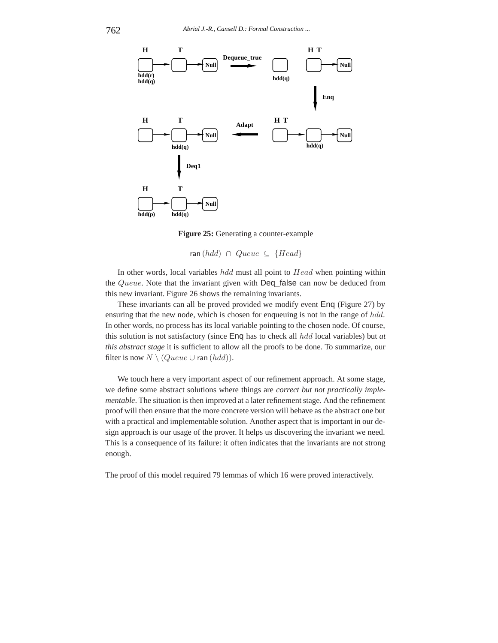

**Figure 25:** Generating a counter-example

ran (*hdd*) ∩ *Queue* ⊆ {*Head*}

In other words, local variables *hdd* must all point to *Head* when pointing within the *Queue*. Note that the invariant given with Deq\_false can now be deduced from this new invariant. Figure 26 shows the remaining invariants.

These invariants can all be proved provided we modify event Enq (Figure 27) by ensuring that the new node, which is chosen for enqueuing is not in the range of *hdd*. In other words, no process has its local variable pointing to the chosen node. Of course, this solution is not satisfactory (since Enq has to check all *hdd* local variables) but *at this abstract stage* it is sufficient to allow all the proofs to be done. To summarize, our filter is now  $N \setminus (Queue \cup \text{ran } (hdd)).$ 

We touch here a very important aspect of our refinement approach. At some stage, we define some abstract solutions where things are *correct but not practically implementable*. The situation is then improved at a later refinement stage. And the refinement proof will then ensure that the more concrete version will behave as the abstract one but with a practical and implementable solution. Another aspect that is important in our design approach is our usage of the prover. It helps us discovering the invariant we need. This is a consequence of its failure: it often indicates that the invariants are not strong enough.

The proof of this model required 79 lemmas of which 16 were proved interactively.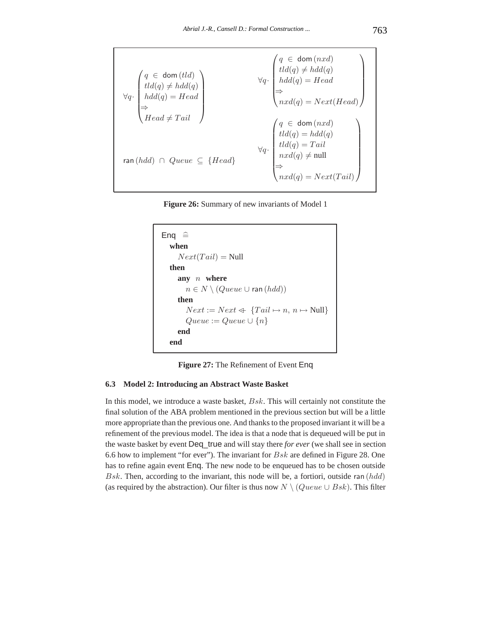$$
\forall q \cdot \begin{pmatrix} q \in \text{dom}(tld) \\ tld(q) \neq hdd(q) \\ hdd(q) = Head \\ \Rightarrow \\ Head \neq Tail \end{pmatrix} \forall q \cdot \begin{pmatrix} q \in \text{dom}(nxd) \\ tld(q) \neq hdd(q) \\ hdd(q) = Head \\ nxd(q) = Next(Head) \end{pmatrix}
$$

$$
\forall q \cdot \begin{pmatrix} q \in \text{dom}(nxd) \\ hdd(q) = Head \\ nxd(q) = Next(Head) \end{pmatrix}
$$

$$
\forall q \cdot \begin{pmatrix} q \in \text{dom}(nxd) \\ tld(q) = hdd(q) \\ tld(q) = Tail \\ nxd(q) \neq null \end{pmatrix}
$$

$$
\forall q \cdot \begin{pmatrix} q \in \text{dom}(nxd) \\ tld(q) = Hedd \Rightarrow \\ nxd(q) \neq null \end{pmatrix}
$$

**Figure 26:** Summary of new invariants of Model 1

```
Enq \hat{=}when
     Next(Tail) = Nullthen
     any n where
       n ∈ N \ (Queue ∪ ran (hdd))then
       Next := Next \Leftrightarrow \{Tail \mapsto n, n \mapsto Null\}Queue := Queue \cup \{n\}end
  end
```
**Figure 27:** The Refinement of Event Enq

# **6.3 Model 2: Introducing an Abstract Waste Basket**

In this model, we introduce a waste basket, *Bsk*. This will certainly not constitute the final solution of the ABA problem mentioned in the previous section but will be a little more appropriate than the previous one. And thanks to the proposed invariant it will be a refinement of the previous model. The idea is that a node that is dequeued will be put in the waste basket by event Deq\_true and will stay there *for ever* (we shall see in section 6.6 how to implement "for ever"). The invariant for *Bsk* are defined in Figure 28. One has to refine again event Enq. The new node to be enqueued has to be chosen outside *Bsk*. Then, according to the invariant, this node will be, a fortiori, outside ran (*hdd*) (as required by the abstraction). Our filter is thus now  $N \setminus (Queue \cup Bsk)$ . This filter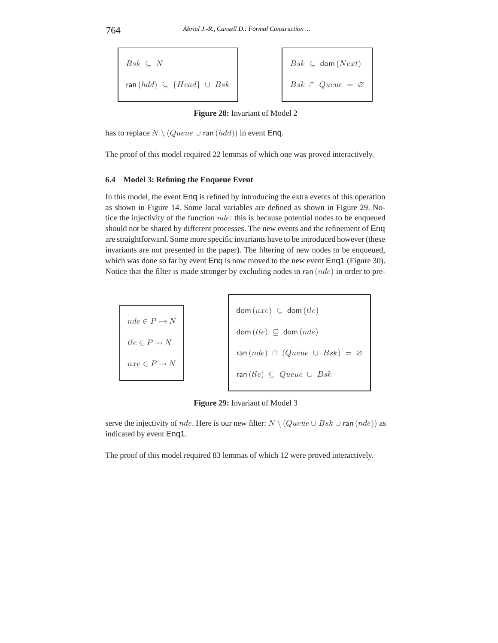$$
Bsk \subseteq N
$$
  
ran (hdd)  $\subseteq$  {Head}  $\cup$  Bsk  
 $\cup$  Bsk  
 $\cup$  Bsk  
 $\cap$  Queue =  $\emptyset$ 

**Figure 28:** Invariant of Model 2

has to replace  $N \setminus (Queue \cup \text{ran}(hdd))$  in event Enq.

The proof of this model required 22 lemmas of which one was proved interactively.

# **6.4 Model 3: Refining the Enqueue Event**

In this model, the event Enq is refined by introducing the extra events of this operation as shown in Figure 14. Some local variables are defined as shown in Figure 29. Notice the injectivity of the function *nde*: this is because potential nodes to be enqueued should not be shared by different processes. The new events and the refinement of Enq are straightforward. Some more specific invariants have to be introduced however (these invariants are not presented in the paper). The filtering of new nodes to be enqueued, which was done so far by event Enq is now moved to the new event Enq1 (Figure 30). Notice that the filter is made stronger by excluding nodes in ran (*nde*) in order to pre-

| $nde \in P \rightarrow\rightarrow N$ | $dom(nxe) \subseteq dom(tle)$                |
|--------------------------------------|----------------------------------------------|
| $tle \in P \rightarrow N$            | $dom(tle) \subseteq dom(nde)$                |
| $nxe \in P \rightarrow N$            | $ran(nde) \cap (Queue \cup Bsk) = \emptyset$ |
|                                      | ran $(tle) \subseteq Queue \cup Bsk$         |

-f

**Figure 29:** Invariant of Model 3

serve the injectivity of *nde*. Here is our new filter:  $N \setminus (Queue \cup Bsk \cup \text{ran} (nde))$  as indicated by event Enq1.

The proof of this model required 83 lemmas of which 12 were proved interactively.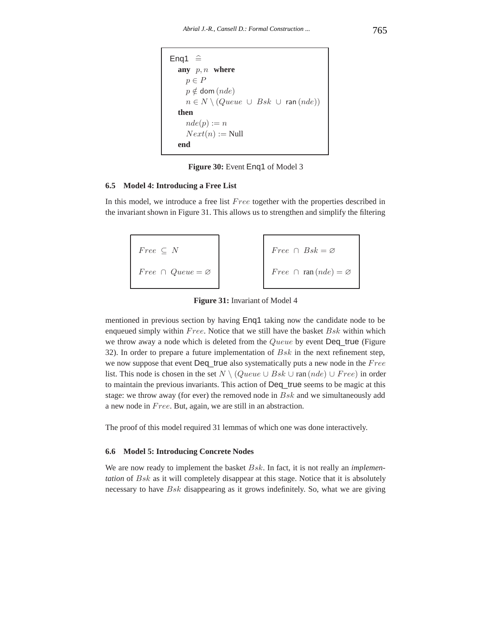```
Eng1 \congany p, n where
    p ∈ P
     p \notin dom (nde)
     n \in N \setminus (Queue \cup Bsk \cup \text{ran}(nde))then
     nde(p) := nNext(n) := Nullend
```
**Figure 30:** Event Enq1 of Model 3

#### **6.5 Model 4: Introducing a Free List**

In this model, we introduce a free list *F ree* together with the properties described in the invariant shown in Figure 31. This allows us to strengthen and simplify the filtering

$$
Free \subseteq N
$$
\n
$$
Free \cap Queue = \varnothing
$$
\n
$$
Free \cap Table = \varnothing
$$
\n
$$
Free \cap \text{ran}(nde) = \varnothing
$$

**Figure 31:** Invariant of Model 4

mentioned in previous section by having Enq1 taking now the candidate node to be enqueued simply within *F ree*. Notice that we still have the basket *Bsk* within which we throw away a node which is deleted from the *Queue* by event Deq\_true (Figure 32). In order to prepare a future implementation of *Bsk* in the next refinement step, we now suppose that event Deq\_true also systematically puts a new node in the *F ree* list. This node is chosen in the set *N* \ (*Queue* ∪ *Bsk* ∪ ran (*nde*) ∪ *Free*) in order to maintain the previous invariants. This action of Deq\_true seems to be magic at this stage: we throw away (for ever) the removed node in *Bsk* and we simultaneously add a new node in *F ree*. But, again, we are still in an abstraction.

The proof of this model required 31 lemmas of which one was done interactively.

#### **6.6 Model 5: Introducing Concrete Nodes**

We are now ready to implement the basket *Bsk*. In fact, it is not really an *implementation* of *Bsk* as it will completely disappear at this stage. Notice that it is absolutely necessary to have *Bsk* disappearing as it grows indefinitely. So, what we are giving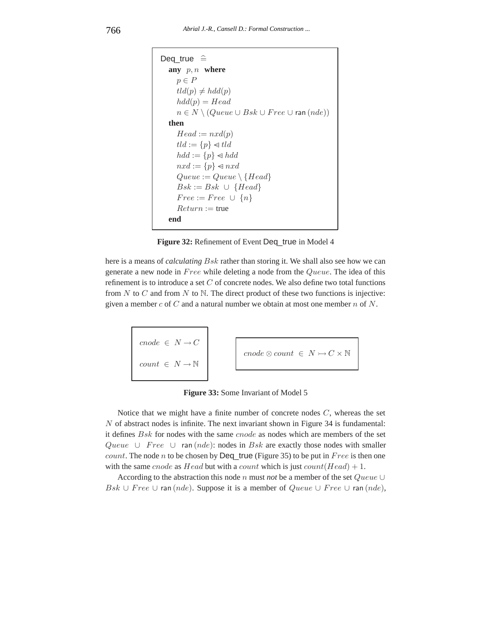```
Deq true \hat{=}any p, n where
     p ∈ P
     tld(p) \neq hdd(p)hdd(p) = Headn \in N \setminus (Queue \cup Bsk \cup Free \cup \text{ran}(nde))then
     Head := nxd(p)tld := \{p\} \triangleleft tldhdd := \{p\} \triangleleft hddnxd := \{p\} \triangleleft nxdQueue := Queue \setminus {Head}Bsk := Bsk \cup \{Head\}Free := Free \cup \{n\}Return := true
  end
```
Figure 32: Refinement of Event Deq\_true in Model 4

here is a means of *calculating Bsk* rather than storing it. We shall also see how we can generate a new node in *F ree* while deleting a node from the *Queue*. The idea of this refinement is to introduce a set *C* of concrete nodes. We also define two total functions from *N* to *C* and from *N* to N. The direct product of these two functions is injective: given a member *c* of *C* and a natural number we obtain at most one member *n* of *N*.

$$
\begin{array}{|l|}\n\hline\n\text{.} \quad \text{.} \quad \text{.} \quad \text{.} \quad \text{.} \quad \text{.} \quad \text{.} \quad \text{.} \quad \text{.} \quad \text{.} \quad \text{.} \quad \text{.} \quad \text{.} \quad \text{.} \quad \text{.} \quad \text{.} \quad \text{.} \quad \text{.} \quad \text{.} \quad \text{.} \quad \text{.} \quad \text{.} \quad \text{.} \quad \text{.} \quad \text{.} \quad \text{.} \quad \text{.} \quad \text{.} \quad \text{.} \quad \text{.} \quad \text{.} \quad \text{.} \quad \text{.} \quad \text{.} \quad \text{.} \quad \text{.} \quad \text{.} \quad \text{.} \quad \text{.} \quad \text{.} \quad \text{.} \quad \text{.} \quad \text{.} \quad \text{.} \quad \text{.} \quad \text{.} \quad \text{.} \quad \text{.} \quad \text{.} \quad \text{.} \quad \text{.} \quad \text{.} \quad \text{.} \quad \text{.} \quad \text{.} \quad \text{.} \quad \text{.} \quad \text{.} \quad \text{.} \quad \text{.} \quad \text{.} \quad \text{.} \quad \text{.} \quad \text{.} \quad \text{.} \quad \text{.} \quad \text{.} \quad \text{.} \quad \text{.} \quad \text{.} \quad \text{.} \quad \text{.} \quad \text{.} \quad \text{.} \quad \text{.} \quad \text{.} \quad \text{.} \quad \text{.} \quad \text{.} \quad \text{.} \quad \text{.} \quad \text{.} \quad \text{.} \quad \text{.} \quad \text{.} \quad \text{.} \quad \text{.} \quad \text{.} \quad \text{.} \quad \text{.} \quad \text{.} \quad \text{.} \quad \text{.} \quad \text{.} \quad \text{.} \quad \text{.} \quad \text{.} \quad \text{.} \quad \text{.} \quad \text{.} \quad \text{.} \quad \text{.} \quad \text{.} \quad \text{.} \quad \text{.} \quad \text{.} \quad \text{.
$$

**Figure 33:** Some Invariant of Model 5

Notice that we might have a finite number of concrete nodes *C*, whereas the set *N* of abstract nodes is infinite. The next invariant shown in Figure 34 is fundamental: it defines *Bsk* for nodes with the same *cnode* as nodes which are members of the set *Queue* ∪ *Free* ∪ ran (*nde*): nodes in *Bsk* are exactly those nodes with smaller *count*. The node *n* to be chosen by Deq\_true (Figure 35) to be put in *F ree* is then one with the same *cnode* as *Head* but with a *count* which is just  $count(Head) + 1$ .

According to the abstraction this node *n* must *not* be a member of the set *Queue* ∪ *Bsk* ∪ *Free* ∪ ran (*nde*). Suppose it is a member of *Queue* ∪ *Free* ∪ ran (*nde*),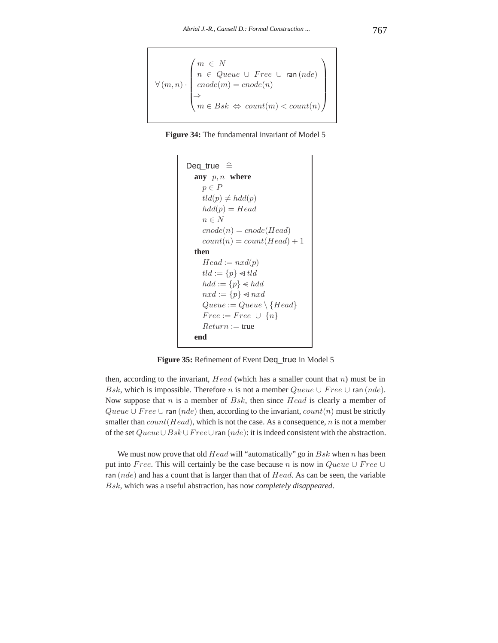$$
\forall (m, n) \cdot \begin{pmatrix} m \in N \\ n \in Queue \cup Free \cup \text{ran} (nde) \\ encode(m) = encode(n) \\ \Rightarrow \\ m \in Bsk \Leftrightarrow count(m) < count(n) \end{pmatrix}
$$



```
Deq true \hat{=}any p, n where
     p ∈ P
     tld(p) \neq hdd(p)hdd(p) = Headn ∈ N
     cnode(n) = encode(Head)count(n) = count(Head) + 1then
     Head := nxd(p)tld := \{p\} \triangleleft tldhdd := \{p\} \triangleleft hddnxd := \{p\} \triangleleft nxdQueue := Queue \setminus {Head}Free := Free \cup \{n\}Return := true
  end
```
Figure 35: Refinement of Event Deq\_true in Model 5

then, according to the invariant, *Head* (which has a smaller count that *n*) must be in *Bsk*, which is impossible. Therefore *n* is not a member  $Queue \cup Free \cup \text{ran}(nde)$ . Now suppose that *n* is a member of *Bsk*, then since *Head* is clearly a member of *Queue* ∪ *Free* ∪ ran (*nde*) then, according to the invariant, *count*(*n*) must be strictly smaller than *count*(*Head*), which is not the case. As a consequence, *n* is not a member of the set *Queue*∪*Bsk* ∪*F ree*∪ran (*nde*): it is indeed consistent with the abstraction.

We must now prove that old *Head* will "automatically" go in *Bsk* when *n* has been put into *F ree*. This will certainly be the case because *n* is now in *Queue* ∪ *F ree* ∪ ran (*nde*) and has a count that is larger than that of *Head*. As can be seen, the variable *Bsk*, which was a useful abstraction, has now *completely disappeared*.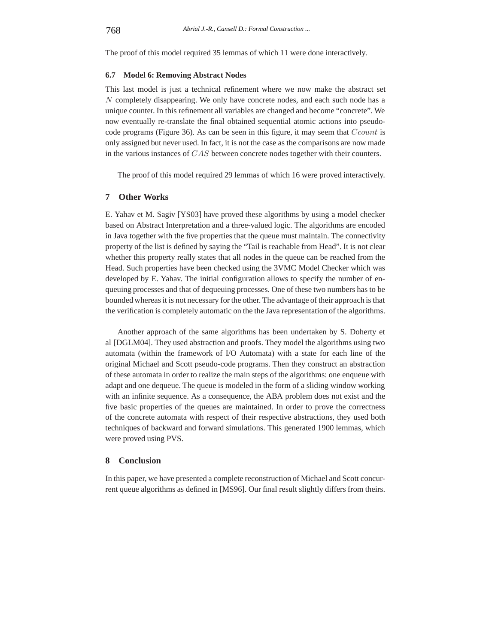The proof of this model required 35 lemmas of which 11 were done interactively.

#### **6.7 Model 6: Removing Abstract Nodes**

This last model is just a technical refinement where we now make the abstract set *N* completely disappearing. We only have concrete nodes, and each such node has a unique counter. In this refinement all variables are changed and become "concrete". We now eventually re-translate the final obtained sequential atomic actions into pseudocode programs (Figure 36). As can be seen in this figure, it may seem that *Ccount* is only assigned but never used. In fact, it is not the case as the comparisons are now made in the various instances of *CAS* between concrete nodes together with their counters.

The proof of this model required 29 lemmas of which 16 were proved interactively.

# **7 Other Works**

E. Yahav et M. Sagiv [YS03] have proved these algorithms by using a model checker based on Abstract Interpretation and a three-valued logic. The algorithms are encoded in Java together with the five properties that the queue must maintain. The connectivity property of the list is defined by saying the "Tail is reachable from Head". It is not clear whether this property really states that all nodes in the queue can be reached from the Head. Such properties have been checked using the 3VMC Model Checker which was developed by E. Yahav. The initial configuration allows to specify the number of enqueuing processes and that of dequeuing processes. One of these two numbers has to be bounded whereas it is not necessary for the other. The advantage of their approach is that the verification is completely automatic on the the Java representation of the algorithms.

Another approach of the same algorithms has been undertaken by S. Doherty et al [DGLM04]. They used abstraction and proofs. They model the algorithms using two automata (within the framework of I/O Automata) with a state for each line of the original Michael and Scott pseudo-code programs. Then they construct an abstraction of these automata in order to realize the main steps of the algorithms: one enqueue with adapt and one dequeue. The queue is modeled in the form of a sliding window working with an infinite sequence. As a consequence, the ABA problem does not exist and the five basic properties of the queues are maintained. In order to prove the correctness of the concrete automata with respect of their respective abstractions, they used both techniques of backward and forward simulations. This generated 1900 lemmas, which were proved using PVS.

# **8 Conclusion**

In this paper, we have presented a complete reconstruction of Michael and Scott concurrent queue algorithms as defined in [MS96]. Our final result slightly differs from theirs.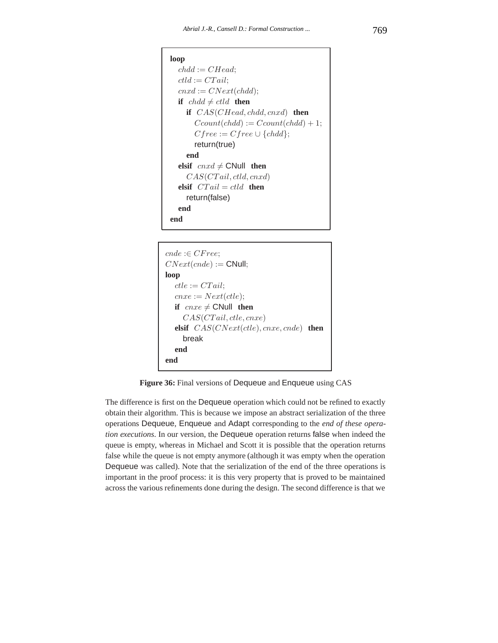```
loop
  chdd := CHead;ctld := CTail;cnxd := CNext(chdd);
  if chdd \neq ctdd then
    if CAS(CHead, chdd, cnxd) then
      Ccount(chdd) := Ccount(chdd) + 1;Cfree := Cfree \cup \{chdd\};return(true)
    end
  elsif cnxd \neq CNull then
    CAS(CT ail, ctld, cnxd)
  elsif CT ail = ctld then
    return(false)
  end
end
```

```
cnde :∈ CF ree;
CNext(cnde) := CNull;
loop
  ctle := CTail;cnxe := Next(ctle);if cnxe \neq CNull then
    CAS(CT ail, ctle, cnxe)
  elsif CAS(CNext(ctle), cnxe, cnde) then
    break
  end
end
```
**Figure 36:** Final versions of Dequeue and Enqueue using CAS

The difference is first on the Dequeue operation which could not be refined to exactly obtain their algorithm. This is because we impose an abstract serialization of the three operations Dequeue, Enqueue and Adapt corresponding to the *end of these operation executions*. In our version, the Dequeue operation returns false when indeed the queue is empty, whereas in Michael and Scott it is possible that the operation returns false while the queue is not empty anymore (although it was empty when the operation Dequeue was called). Note that the serialization of the end of the three operations is important in the proof process: it is this very property that is proved to be maintained across the various refinements done during the design. The second difference is that we